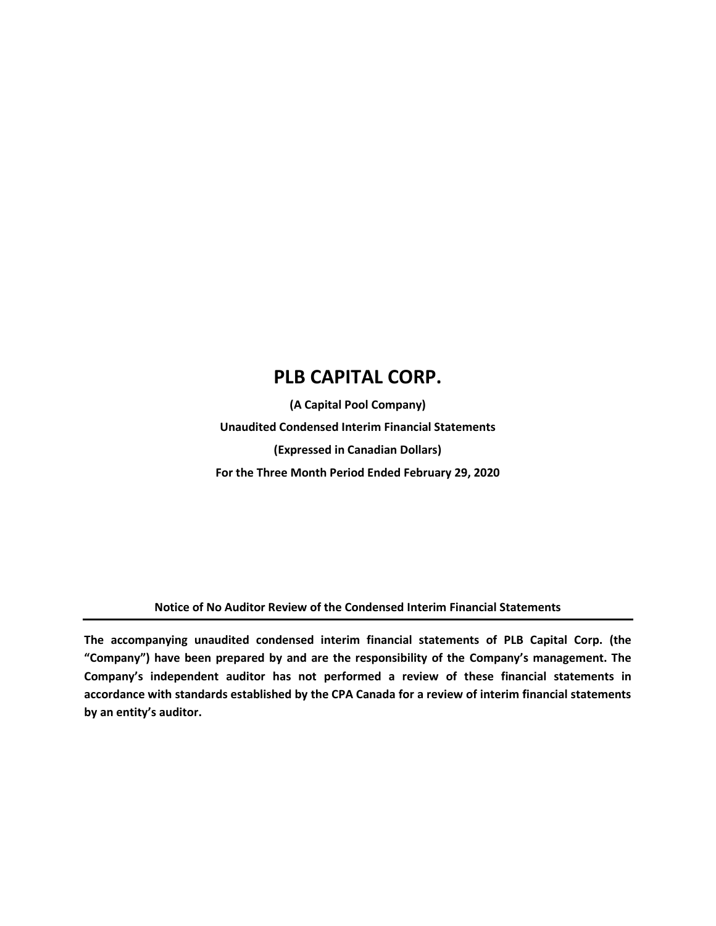**(A Capital Pool Company) Unaudited Condensed Interim Financial Statements (Expressed in Canadian Dollars) For the Three Month Period Ended February 29, 2020**

**Notice of No Auditor Review of the Condensed Interim Financial Statements**

**The accompanying unaudited condensed interim financial statements of PLB Capital Corp. (the "Company") have been prepared by and are the responsibility of the Company's management. The Company's independent auditor has not performed a review of these financial statements in accordance with standards established by the CPA Canada for a review of interim financial statements by an entity's auditor.**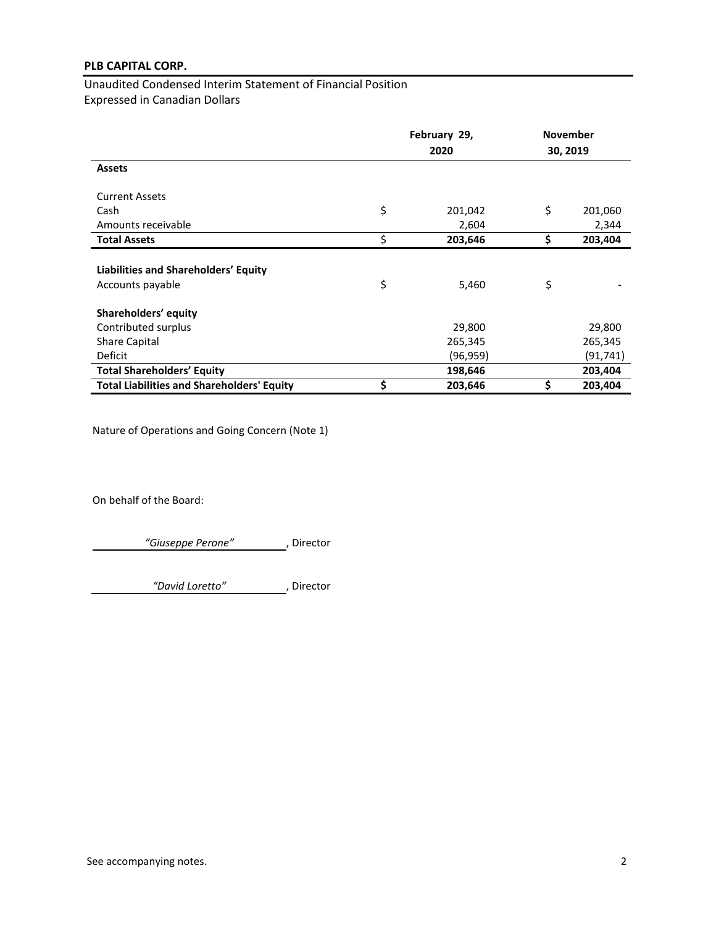Unaudited Condensed Interim Statement of Financial Position Expressed in Canadian Dollars

|                                                   | February 29, |          | <b>November</b> |  |
|---------------------------------------------------|--------------|----------|-----------------|--|
|                                                   |              | 2020     | 30, 2019        |  |
| <b>Assets</b>                                     |              |          |                 |  |
| <b>Current Assets</b>                             |              |          |                 |  |
| Cash                                              | \$           | 201,042  | \$<br>201,060   |  |
| Amounts receivable                                |              | 2,604    | 2,344           |  |
| <b>Total Assets</b>                               | \$           | 203,646  | \$<br>203,404   |  |
| Liabilities and Shareholders' Equity              |              |          |                 |  |
| Accounts payable                                  | \$           | 5,460    | \$              |  |
| Shareholders' equity                              |              |          |                 |  |
| Contributed surplus                               |              | 29,800   | 29,800          |  |
| <b>Share Capital</b>                              |              | 265,345  | 265,345         |  |
| Deficit                                           |              | (96,959) | (91,741)        |  |
| <b>Total Shareholders' Equity</b>                 |              | 198,646  | 203,404         |  |
| <b>Total Liabilities and Shareholders' Equity</b> | \$           | 203,646  | \$<br>203,404   |  |

Nature of Operations and Going Concern (Note 1)

On behalf of the Board:

*"Giuseppe Perone"* , Director

*"David Loretto"* , Director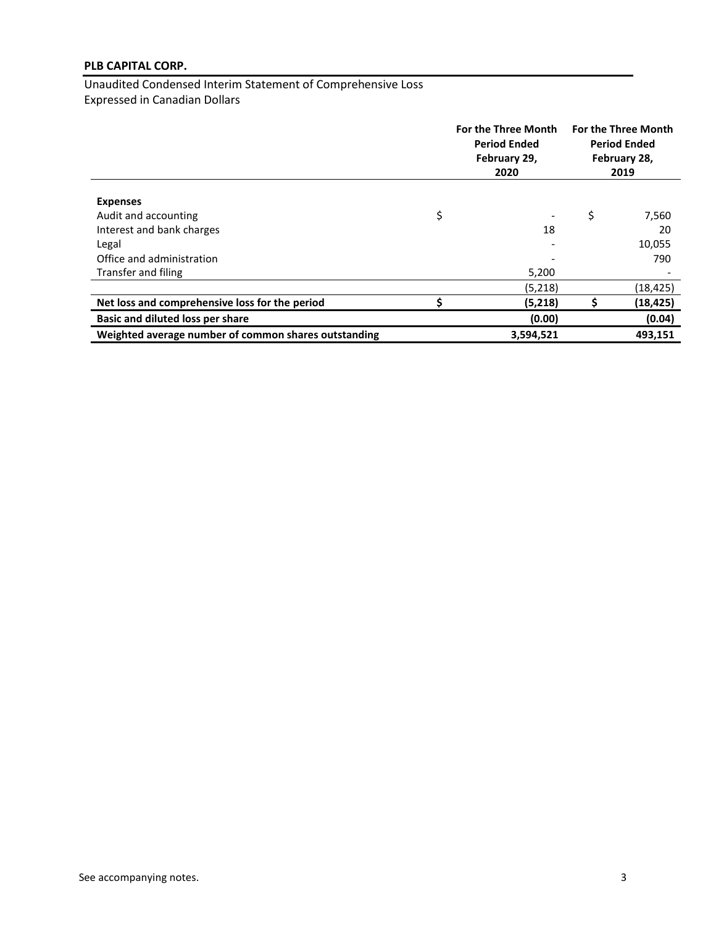Unaudited Condensed Interim Statement of Comprehensive Loss Expressed in Canadian Dollars

|                                                      | For the Three Month<br><b>Period Ended</b><br>February 29,<br>2020 | <b>For the Three Month</b><br><b>Period Ended</b><br>February 28,<br>2019 |           |
|------------------------------------------------------|--------------------------------------------------------------------|---------------------------------------------------------------------------|-----------|
|                                                      |                                                                    |                                                                           |           |
| <b>Expenses</b>                                      |                                                                    |                                                                           |           |
| Audit and accounting                                 | \$                                                                 | \$                                                                        | 7,560     |
| Interest and bank charges                            | 18                                                                 |                                                                           | 20        |
| Legal                                                |                                                                    |                                                                           | 10,055    |
| Office and administration                            |                                                                    |                                                                           | 790       |
| Transfer and filing                                  | 5,200                                                              |                                                                           |           |
|                                                      | (5,218)                                                            |                                                                           | (18, 425) |
| Net loss and comprehensive loss for the period       | (5,218)                                                            |                                                                           | (18, 425) |
| Basic and diluted loss per share                     | (0.00)                                                             |                                                                           | (0.04)    |
| Weighted average number of common shares outstanding | 3,594,521                                                          |                                                                           | 493,151   |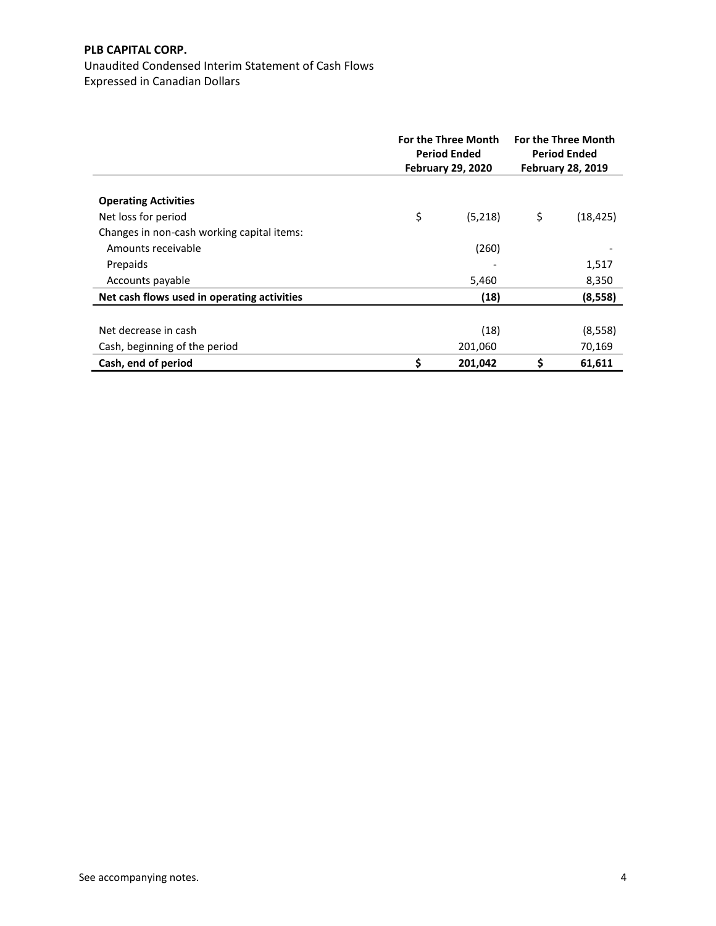Unaudited Condensed Interim Statement of Cash Flows Expressed in Canadian Dollars

|                                             | <b>For the Three Month</b><br><b>Period Ended</b><br><b>February 29, 2020</b> |    | <b>For the Three Month</b><br><b>Period Ended</b><br><b>February 28, 2019</b> |
|---------------------------------------------|-------------------------------------------------------------------------------|----|-------------------------------------------------------------------------------|
|                                             |                                                                               |    |                                                                               |
| <b>Operating Activities</b>                 |                                                                               |    |                                                                               |
| Net loss for period                         | \$<br>(5,218)                                                                 | \$ | (18, 425)                                                                     |
| Changes in non-cash working capital items:  |                                                                               |    |                                                                               |
| Amounts receivable                          | (260)                                                                         |    |                                                                               |
| Prepaids                                    |                                                                               |    | 1,517                                                                         |
| Accounts payable                            | 5,460                                                                         |    | 8,350                                                                         |
| Net cash flows used in operating activities | (18)                                                                          |    | (8, 558)                                                                      |
|                                             |                                                                               |    |                                                                               |
| Net decrease in cash                        | (18)                                                                          |    | (8, 558)                                                                      |
| Cash, beginning of the period               | 201,060                                                                       |    | 70,169                                                                        |
| Cash, end of period                         | \$<br>201,042                                                                 | \$ | 61,611                                                                        |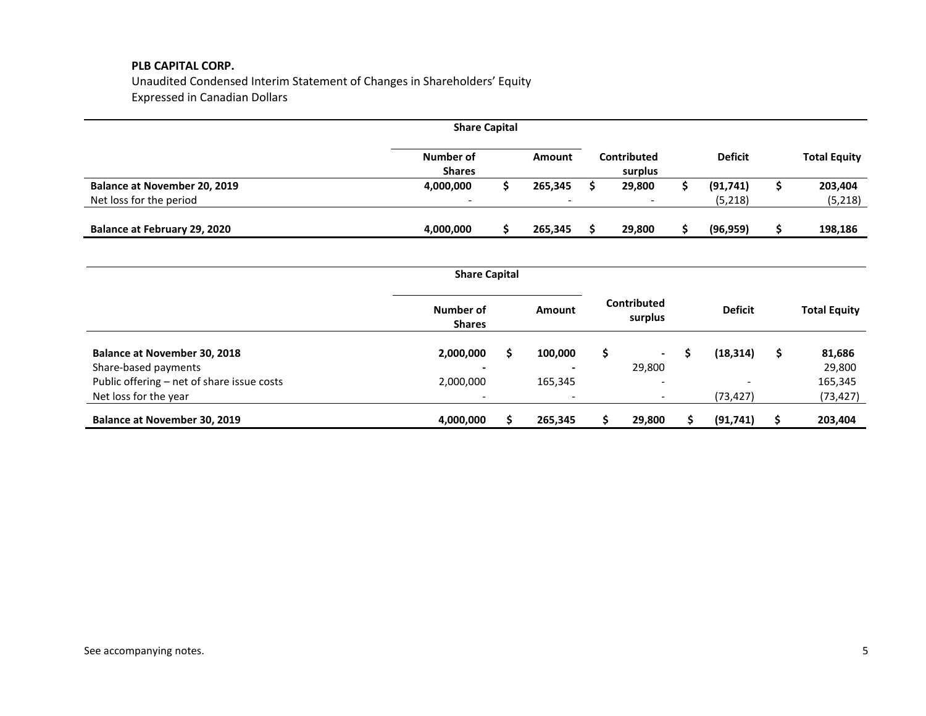Unaudited Condensed Interim Statement of Changes in Shareholders' Equity Expressed in Canadian Dollars

| <b>Share Capital</b>                |                            |  |                          |  |                          |                |                     |
|-------------------------------------|----------------------------|--|--------------------------|--|--------------------------|----------------|---------------------|
|                                     | Number of<br><b>Shares</b> |  | Amount                   |  | Contributed<br>surplus   | <b>Deficit</b> | <b>Total Equity</b> |
| <b>Balance at November 20, 2019</b> | 4,000,000                  |  | 265,345                  |  | 29,800                   | (91, 741)      | 203,404             |
| Net loss for the period             | $\overline{\phantom{0}}$   |  | $\overline{\phantom{a}}$ |  | $\overline{\phantom{0}}$ | (5, 218)       | (5,218)             |
| <b>Balance at February 29, 2020</b> | 4,000,000                  |  | 265,345                  |  | 29,800                   | (96, 959)      | 198,186             |

|                                            | <b>Share Capital</b>       |   |         |   |                               |                |   |                     |
|--------------------------------------------|----------------------------|---|---------|---|-------------------------------|----------------|---|---------------------|
|                                            | Number of<br><b>Shares</b> |   | Amount  |   | <b>Contributed</b><br>surplus | <b>Deficit</b> |   | <b>Total Equity</b> |
| <b>Balance at November 30, 2018</b>        | 2,000,000                  | S | 100,000 | s | $\overline{\phantom{a}}$      | (18, 314)      | S | 81,686              |
| Share-based payments                       | -                          |   |         |   | 29,800                        |                |   | 29,800              |
| Public offering - net of share issue costs | 2,000,000                  |   | 165,345 |   | -                             |                |   | 165,345             |
| Net loss for the year                      | -                          |   |         |   | $\overline{\phantom{0}}$      | (73,427)       |   | (73, 427)           |
| <b>Balance at November 30, 2019</b>        | 4,000,000                  |   | 265,345 |   | 29,800                        | (91, 741)      |   | 203,404             |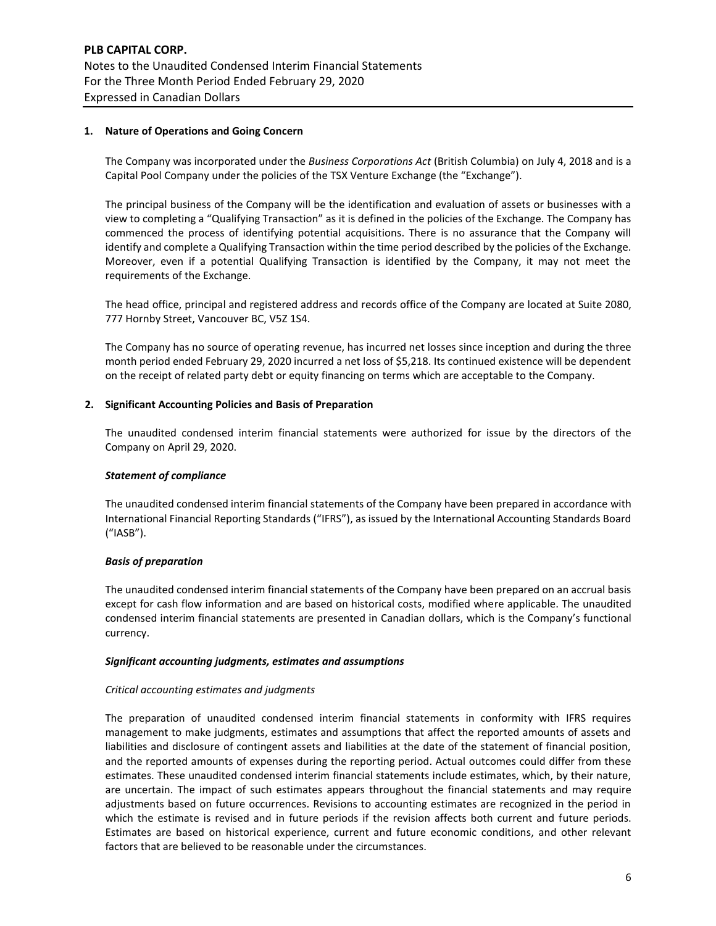## **1. Nature of Operations and Going Concern**

The Company was incorporated under the *Business Corporations Act* (British Columbia) on July 4, 2018 and is a Capital Pool Company under the policies of the TSX Venture Exchange (the "Exchange").

The principal business of the Company will be the identification and evaluation of assets or businesses with a view to completing a "Qualifying Transaction" as it is defined in the policies of the Exchange. The Company has commenced the process of identifying potential acquisitions. There is no assurance that the Company will identify and complete a Qualifying Transaction within the time period described by the policies of the Exchange. Moreover, even if a potential Qualifying Transaction is identified by the Company, it may not meet the requirements of the Exchange.

The head office, principal and registered address and records office of the Company are located at Suite 2080, 777 Hornby Street, Vancouver BC, V5Z 1S4.

The Company has no source of operating revenue, has incurred net losses since inception and during the three month period ended February 29, 2020 incurred a net loss of \$5,218. Its continued existence will be dependent on the receipt of related party debt or equity financing on terms which are acceptable to the Company.

## **2. Significant Accounting Policies and Basis of Preparation**

The unaudited condensed interim financial statements were authorized for issue by the directors of the Company on April 29, 2020.

## *Statement of compliance*

The unaudited condensed interim financial statements of the Company have been prepared in accordance with International Financial Reporting Standards ("IFRS"), as issued by the International Accounting Standards Board ("IASB").

## *Basis of preparation*

The unaudited condensed interim financial statements of the Company have been prepared on an accrual basis except for cash flow information and are based on historical costs, modified where applicable. The unaudited condensed interim financial statements are presented in Canadian dollars, which is the Company's functional currency.

## *Significant accounting judgments, estimates and assumptions*

## *Critical accounting estimates and judgments*

The preparation of unaudited condensed interim financial statements in conformity with IFRS requires management to make judgments, estimates and assumptions that affect the reported amounts of assets and liabilities and disclosure of contingent assets and liabilities at the date of the statement of financial position, and the reported amounts of expenses during the reporting period. Actual outcomes could differ from these estimates. These unaudited condensed interim financial statements include estimates, which, by their nature, are uncertain. The impact of such estimates appears throughout the financial statements and may require adjustments based on future occurrences. Revisions to accounting estimates are recognized in the period in which the estimate is revised and in future periods if the revision affects both current and future periods. Estimates are based on historical experience, current and future economic conditions, and other relevant factors that are believed to be reasonable under the circumstances.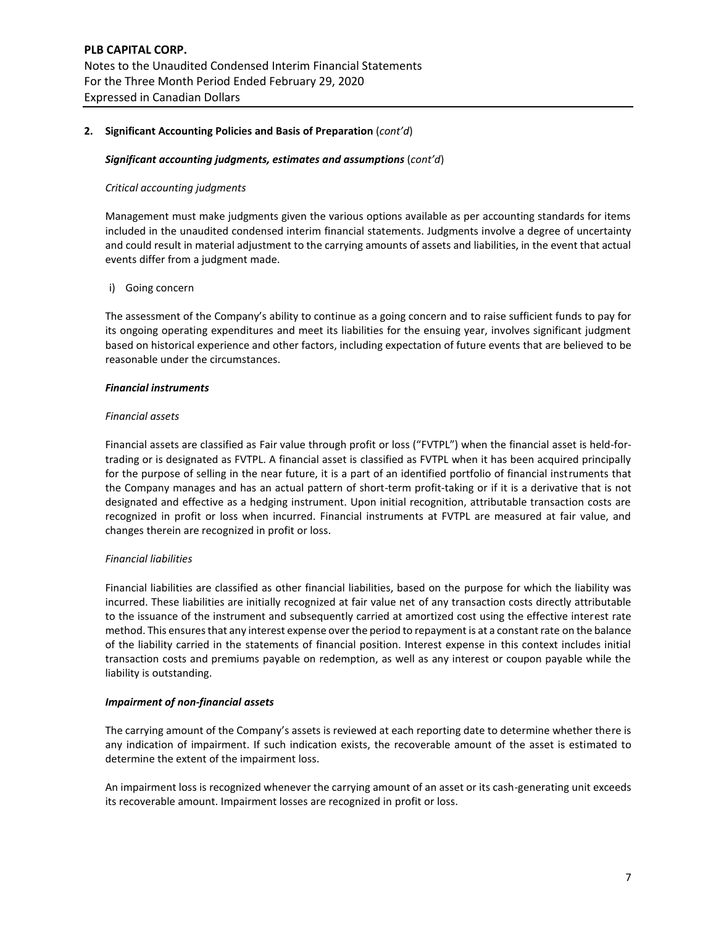## **2. Significant Accounting Policies and Basis of Preparation** (*cont'd*)

#### *Significant accounting judgments, estimates and assumptions* (*cont'd*)

## *Critical accounting judgments*

Management must make judgments given the various options available as per accounting standards for items included in the unaudited condensed interim financial statements. Judgments involve a degree of uncertainty and could result in material adjustment to the carrying amounts of assets and liabilities, in the event that actual events differ from a judgment made.

## i) Going concern

The assessment of the Company's ability to continue as a going concern and to raise sufficient funds to pay for its ongoing operating expenditures and meet its liabilities for the ensuing year, involves significant judgment based on historical experience and other factors, including expectation of future events that are believed to be reasonable under the circumstances.

#### *Financial instruments*

#### *Financial assets*

Financial assets are classified as Fair value through profit or loss ("FVTPL") when the financial asset is held-fortrading or is designated as FVTPL. A financial asset is classified as FVTPL when it has been acquired principally for the purpose of selling in the near future, it is a part of an identified portfolio of financial instruments that the Company manages and has an actual pattern of short-term profit-taking or if it is a derivative that is not designated and effective as a hedging instrument. Upon initial recognition, attributable transaction costs are recognized in profit or loss when incurred. Financial instruments at FVTPL are measured at fair value, and changes therein are recognized in profit or loss.

## *Financial liabilities*

Financial liabilities are classified as other financial liabilities, based on the purpose for which the liability was incurred. These liabilities are initially recognized at fair value net of any transaction costs directly attributable to the issuance of the instrument and subsequently carried at amortized cost using the effective interest rate method. This ensures that any interest expense over the period to repayment is at a constant rate on the balance of the liability carried in the statements of financial position. Interest expense in this context includes initial transaction costs and premiums payable on redemption, as well as any interest or coupon payable while the liability is outstanding.

#### *Impairment of non-financial assets*

The carrying amount of the Company's assets is reviewed at each reporting date to determine whether there is any indication of impairment. If such indication exists, the recoverable amount of the asset is estimated to determine the extent of the impairment loss.

An impairment loss is recognized whenever the carrying amount of an asset or its cash-generating unit exceeds its recoverable amount. Impairment losses are recognized in profit or loss.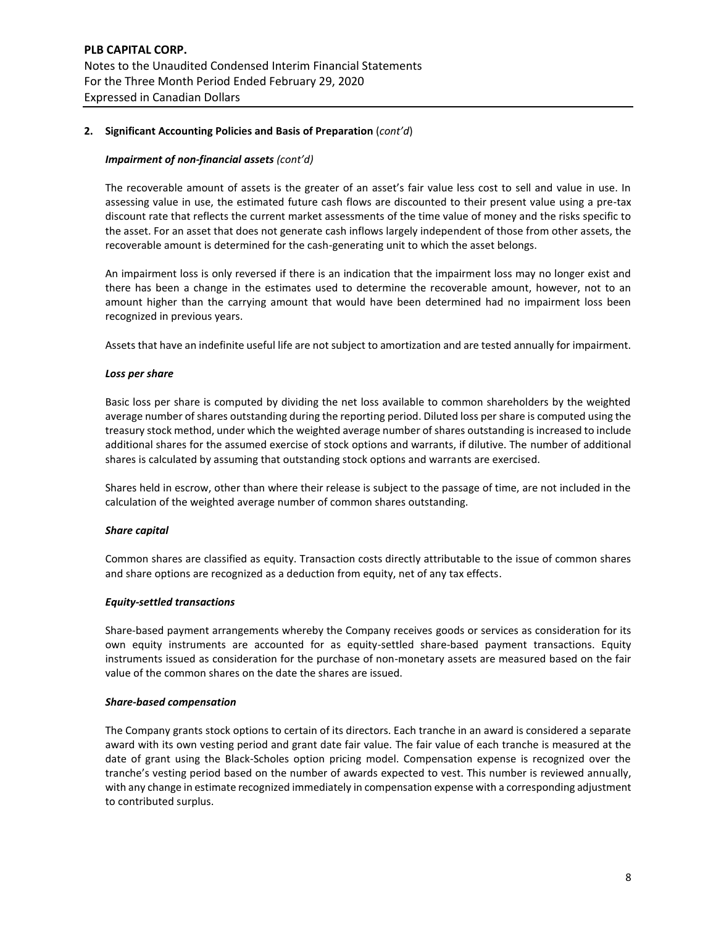## **2. Significant Accounting Policies and Basis of Preparation** (*cont'd*)

## *Impairment of non-financial assets (cont'd)*

The recoverable amount of assets is the greater of an asset's fair value less cost to sell and value in use. In assessing value in use, the estimated future cash flows are discounted to their present value using a pre-tax discount rate that reflects the current market assessments of the time value of money and the risks specific to the asset. For an asset that does not generate cash inflows largely independent of those from other assets, the recoverable amount is determined for the cash-generating unit to which the asset belongs.

An impairment loss is only reversed if there is an indication that the impairment loss may no longer exist and there has been a change in the estimates used to determine the recoverable amount, however, not to an amount higher than the carrying amount that would have been determined had no impairment loss been recognized in previous years.

Assets that have an indefinite useful life are not subject to amortization and are tested annually for impairment.

## *Loss per share*

Basic loss per share is computed by dividing the net loss available to common shareholders by the weighted average number of shares outstanding during the reporting period. Diluted loss per share is computed using the treasury stock method, under which the weighted average number of shares outstanding is increased to include additional shares for the assumed exercise of stock options and warrants, if dilutive. The number of additional shares is calculated by assuming that outstanding stock options and warrants are exercised.

Shares held in escrow, other than where their release is subject to the passage of time, are not included in the calculation of the weighted average number of common shares outstanding.

## *Share capital*

Common shares are classified as equity. Transaction costs directly attributable to the issue of common shares and share options are recognized as a deduction from equity, net of any tax effects.

## *Equity-settled transactions*

Share-based payment arrangements whereby the Company receives goods or services as consideration for its own equity instruments are accounted for as equity-settled share-based payment transactions. Equity instruments issued as consideration for the purchase of non-monetary assets are measured based on the fair value of the common shares on the date the shares are issued.

## *Share‐based compensation*

The Company grants stock options to certain of its directors. Each tranche in an award is considered a separate award with its own vesting period and grant date fair value. The fair value of each tranche is measured at the date of grant using the Black‐Scholes option pricing model. Compensation expense is recognized over the tranche's vesting period based on the number of awards expected to vest. This number is reviewed annually, with any change in estimate recognized immediately in compensation expense with a corresponding adjustment to contributed surplus.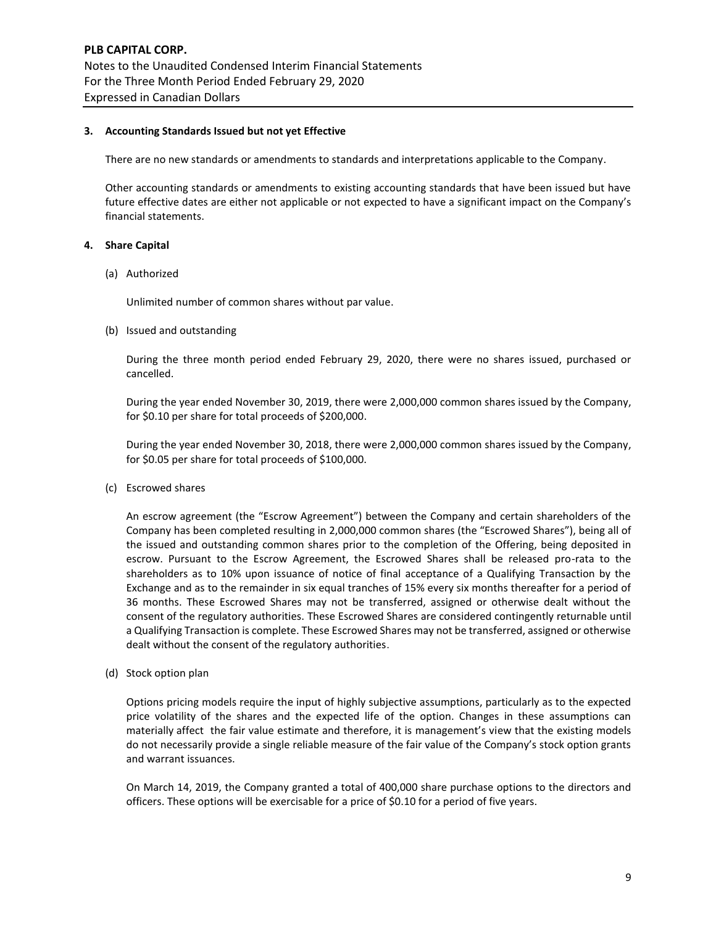## **3. Accounting Standards Issued but not yet Effective**

There are no new standards or amendments to standards and interpretations applicable to the Company.

Other accounting standards or amendments to existing accounting standards that have been issued but have future effective dates are either not applicable or not expected to have a significant impact on the Company's financial statements.

## **4. Share Capital**

(a) Authorized

Unlimited number of common shares without par value.

(b) Issued and outstanding

During the three month period ended February 29, 2020, there were no shares issued, purchased or cancelled.

During the year ended November 30, 2019, there were 2,000,000 common shares issued by the Company, for \$0.10 per share for total proceeds of \$200,000.

During the year ended November 30, 2018, there were 2,000,000 common shares issued by the Company, for \$0.05 per share for total proceeds of \$100,000.

(c) Escrowed shares

An escrow agreement (the "Escrow Agreement") between the Company and certain shareholders of the Company has been completed resulting in 2,000,000 common shares (the "Escrowed Shares"), being all of the issued and outstanding common shares prior to the completion of the Offering, being deposited in escrow. Pursuant to the Escrow Agreement, the Escrowed Shares shall be released pro-rata to the shareholders as to 10% upon issuance of notice of final acceptance of a Qualifying Transaction by the Exchange and as to the remainder in six equal tranches of 15% every six months thereafter for a period of 36 months. These Escrowed Shares may not be transferred, assigned or otherwise dealt without the consent of the regulatory authorities. These Escrowed Shares are considered contingently returnable until a Qualifying Transaction is complete. These Escrowed Shares may not be transferred, assigned or otherwise dealt without the consent of the regulatory authorities.

(d) Stock option plan

Options pricing models require the input of highly subjective assumptions, particularly as to the expected price volatility of the shares and the expected life of the option. Changes in these assumptions can materially affect the fair value estimate and therefore, it is management's view that the existing models do not necessarily provide a single reliable measure of the fair value of the Company's stock option grants and warrant issuances.

On March 14, 2019, the Company granted a total of 400,000 share purchase options to the directors and officers. These options will be exercisable for a price of \$0.10 for a period of five years.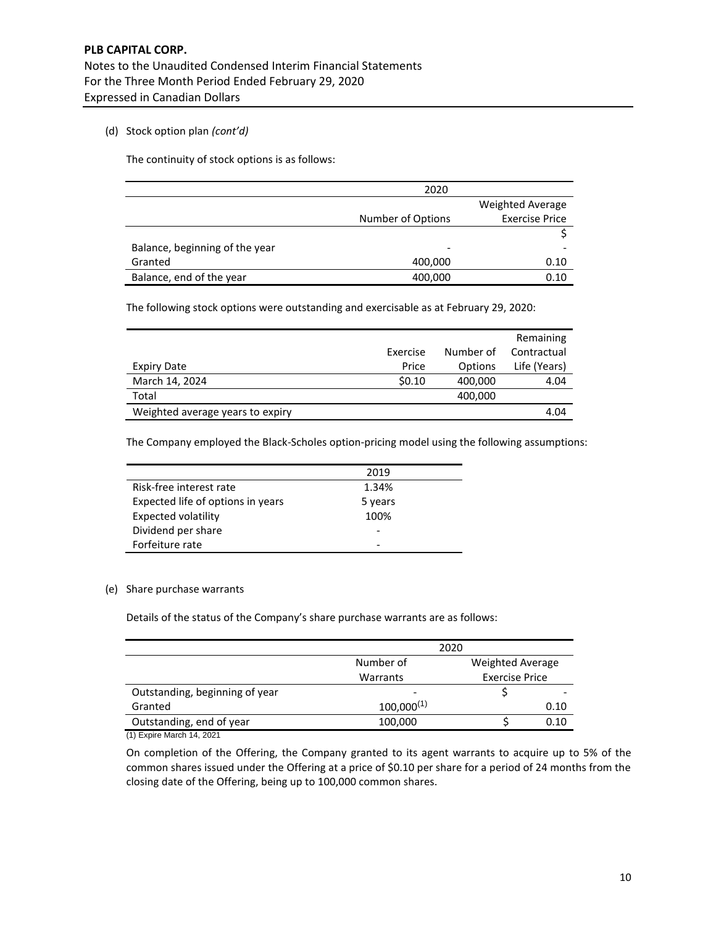## (d) Stock option plan *(cont'd)*

The continuity of stock options is as follows:

|                                | 2020              |                         |
|--------------------------------|-------------------|-------------------------|
|                                |                   | <b>Weighted Average</b> |
|                                | Number of Options | <b>Exercise Price</b>   |
|                                |                   |                         |
| Balance, beginning of the year | -                 |                         |
| Granted                        | 400,000           | 0.10                    |
| Balance, end of the year       | 400,000           | 0.10                    |

The following stock options were outstanding and exercisable as at February 29, 2020:

|                                  |          |           | Remaining    |
|----------------------------------|----------|-----------|--------------|
|                                  | Exercise | Number of | Contractual  |
| Expiry Date                      | Price    | Options   | Life (Years) |
| March 14, 2024                   | 50.10    | 400,000   | 4.04         |
| Total                            |          | 400,000   |              |
| Weighted average years to expiry |          |           | 4.04         |

The Company employed the Black-Scholes option-pricing model using the following assumptions:

|                                   | 2019    |
|-----------------------------------|---------|
| Risk-free interest rate           | 1.34%   |
| Expected life of options in years | 5 years |
| Expected volatility               | 100%    |
| Dividend per share                |         |
| Forfeiture rate                   |         |

## (e) Share purchase warrants

Details of the status of the Company's share purchase warrants are as follows:

|                                | 2020            |                         |      |  |  |  |
|--------------------------------|-----------------|-------------------------|------|--|--|--|
|                                | Number of       | <b>Weighted Average</b> |      |  |  |  |
|                                | Warrants        | <b>Exercise Price</b>   |      |  |  |  |
| Outstanding, beginning of year |                 |                         |      |  |  |  |
| Granted                        | $100,000^{(1)}$ |                         | 0.10 |  |  |  |
| Outstanding, end of year       | 100,000         |                         | 0.10 |  |  |  |

(1) Expire March 14, 2021

On completion of the Offering, the Company granted to its agent warrants to acquire up to 5% of the common shares issued under the Offering at a price of \$0.10 per share for a period of 24 months from the closing date of the Offering, being up to 100,000 common shares.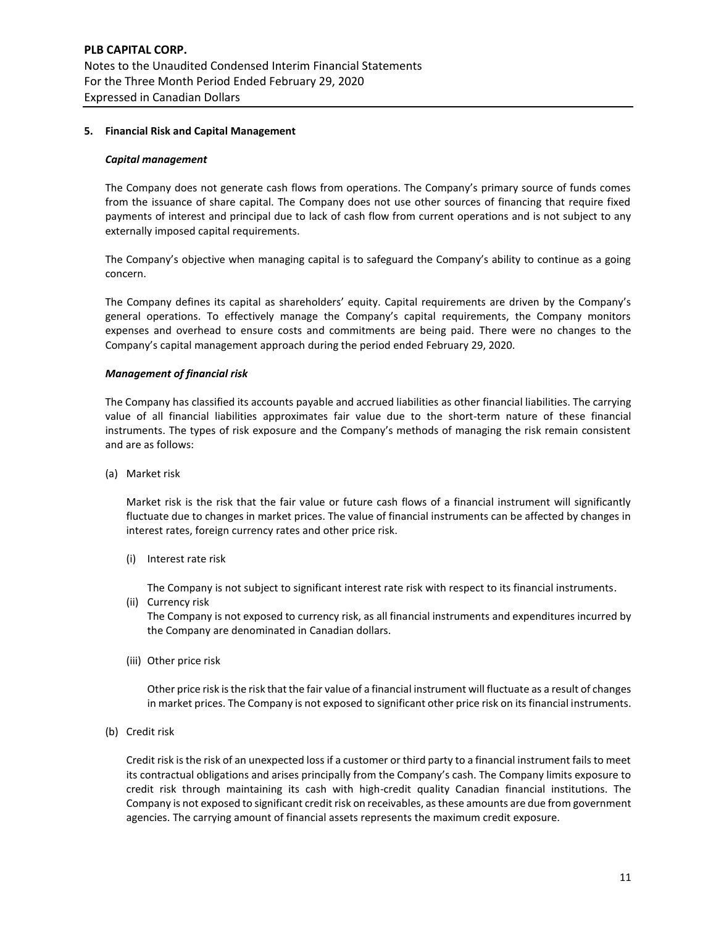## **5. Financial Risk and Capital Management**

#### *Capital management*

The Company does not generate cash flows from operations. The Company's primary source of funds comes from the issuance of share capital. The Company does not use other sources of financing that require fixed payments of interest and principal due to lack of cash flow from current operations and is not subject to any externally imposed capital requirements.

The Company's objective when managing capital is to safeguard the Company's ability to continue as a going concern.

The Company defines its capital as shareholders' equity. Capital requirements are driven by the Company's general operations. To effectively manage the Company's capital requirements, the Company monitors expenses and overhead to ensure costs and commitments are being paid. There were no changes to the Company's capital management approach during the period ended February 29, 2020.

## *Management of financial risk*

The Company has classified its accounts payable and accrued liabilities as other financial liabilities. The carrying value of all financial liabilities approximates fair value due to the short-term nature of these financial instruments. The types of risk exposure and the Company's methods of managing the risk remain consistent and are as follows:

(a) Market risk

Market risk is the risk that the fair value or future cash flows of a financial instrument will significantly fluctuate due to changes in market prices. The value of financial instruments can be affected by changes in interest rates, foreign currency rates and other price risk.

(i) Interest rate risk

The Company is not subject to significant interest rate risk with respect to its financial instruments.

(ii) Currency risk

The Company is not exposed to currency risk, as all financial instruments and expenditures incurred by the Company are denominated in Canadian dollars.

(iii) Other price risk

Other price risk is the risk that the fair value of a financial instrument will fluctuate as a result of changes in market prices. The Company is not exposed to significant other price risk on its financial instruments.

(b) Credit risk

Credit risk is the risk of an unexpected loss if a customer or third party to a financial instrument fails to meet its contractual obligations and arises principally from the Company's cash. The Company limits exposure to credit risk through maintaining its cash with high-credit quality Canadian financial institutions. The Company is not exposed to significant credit risk on receivables, as these amounts are due from government agencies. The carrying amount of financial assets represents the maximum credit exposure.